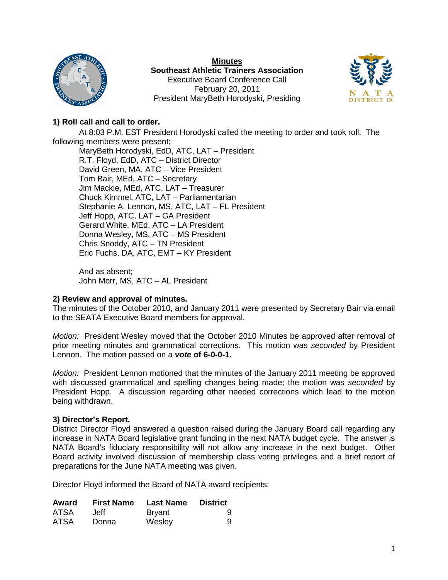

**Minutes Southeast Athletic Trainers Association** Executive Board Conference Call February 20, 2011 President MaryBeth Horodyski, Presiding



# **1) Roll call and call to order.**

At 8:03 P.M. EST President Horodyski called the meeting to order and took roll. The following members were present; MaryBeth Horodyski, EdD, ATC, LAT – President R.T. Floyd, EdD, ATC – District Director David Green, MA, ATC – Vice President Tom Bair, MEd, ATC – Secretary Jim Mackie, MEd, ATC, LAT – Treasurer Chuck Kimmel, ATC, LAT – Parliamentarian Stephanie A. Lennon, MS, ATC, LAT – FL President Jeff Hopp, ATC, LAT – GA President Gerard White, MEd, ATC – LA President Donna Wesley, MS, ATC – MS President Chris Snoddy, ATC – TN President Eric Fuchs, DA, ATC, EMT – KY President

And as absent; John Morr, MS, ATC – AL President

## **2) Review and approval of minutes.**

The minutes of the October 2010, and January 2011 were presented by Secretary Bair via email to the SEATA Executive Board members for approval.

*Motion:* President Wesley moved that the October 2010 Minutes be approved after removal of prior meeting minutes and grammatical corrections. This motion was *seconded* by President Lennon. The motion passed on a *vote* **of 6-0-0-1.**

*Motion:* President Lennon motioned that the minutes of the January 2011 meeting be approved with discussed grammatical and spelling changes being made; the motion was *seconded* by President Hopp. A discussion regarding other needed corrections which lead to the motion being withdrawn.

## **3) Director's Report.**

District Director Floyd answered a question raised during the January Board call regarding any increase in NATA Board legislative grant funding in the next NATA budget cycle. The answer is NATA Board's fiduciary responsibility will not allow any increase in the next budget. Other Board activity involved discussion of membership class voting privileges and a brief report of preparations for the June NATA meeting was given.

Director Floyd informed the Board of NATA award recipients:

| <b>Award</b> | <b>First Name</b> | Last Name     | <b>District</b> |
|--------------|-------------------|---------------|-----------------|
| ATSA         | Jeff              | <b>Bryant</b> | 9               |
| <b>ATSA</b>  | Donna             | Wesley        | 9               |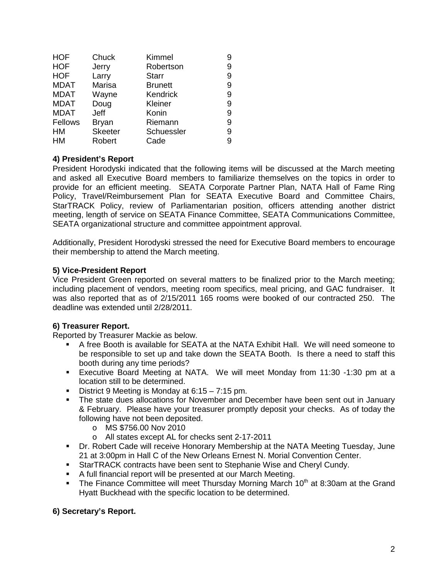| <b>HOF</b>  | Chuck          | Kimmel         | 9 |
|-------------|----------------|----------------|---|
| <b>HOF</b>  | Jerry          | Robertson      | 9 |
| <b>HOF</b>  | Larry          | <b>Starr</b>   | 9 |
| <b>MDAT</b> | Marisa         | <b>Brunett</b> | 9 |
| <b>MDAT</b> | Wayne          | Kendrick       | 9 |
| <b>MDAT</b> | Doug           | Kleiner        | 9 |
| <b>MDAT</b> | Jeff           | Konin          | 9 |
| Fellows     | <b>Bryan</b>   | Riemann        | 9 |
| <b>HM</b>   | <b>Skeeter</b> | Schuessler     | 9 |
| <b>HM</b>   | Robert         | Cade           | 9 |

## **4) President's Report**

President Horodyski indicated that the following items will be discussed at the March meeting and asked all Executive Board members to familiarize themselves on the topics in order to provide for an efficient meeting. SEATA Corporate Partner Plan, NATA Hall of Fame Ring Policy, Travel/Reimbursement Plan for SEATA Executive Board and Committee Chairs, StarTRACK Policy, review of Parliamentarian position, officers attending another district meeting, length of service on SEATA Finance Committee, SEATA Communications Committee, SEATA organizational structure and committee appointment approval.

Additionally, President Horodyski stressed the need for Executive Board members to encourage their membership to attend the March meeting.

## **5) Vice-President Report**

Vice President Green reported on several matters to be finalized prior to the March meeting; including placement of vendors, meeting room specifics, meal pricing, and GAC fundraiser. It was also reported that as of 2/15/2011 165 rooms were booked of our contracted 250. The deadline was extended until 2/28/2011.

## **6) Treasurer Report.**

Reported by Treasurer Mackie as below.

- A free Booth is available for SEATA at the NATA Exhibit Hall. We will need someone to be responsible to set up and take down the SEATA Booth. Is there a need to staff this booth during any time periods?
- Executive Board Meeting at NATA. We will meet Monday from 11:30 -1:30 pm at a location still to be determined.
- District 9 Meeting is Monday at 6:15 7:15 pm.
- The state dues allocations for November and December have been sent out in January & February. Please have your treasurer promptly deposit your checks. As of today the following have not been deposited.
	- o MS \$756.00 Nov 2010
	- o All states except AL for checks sent 2-17-2011
- Dr. Robert Cade will receive Honorary Membership at the NATA Meeting Tuesday, June 21 at 3:00pm in Hall C of the New Orleans Ernest N. Morial Convention Center.
- StarTRACK contracts have been sent to Stephanie Wise and Cheryl Cundy.
- A full financial report will be presented at our March Meeting.
- The Finance Committee will meet Thursday Morning March  $10<sup>th</sup>$  at 8:30am at the Grand Hyatt Buckhead with the specific location to be determined.

## **6) Secretary's Report.**